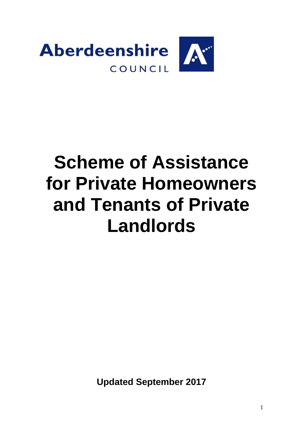

# **Scheme of Assistance for Private Homeowners and Tenants of Private Landlords**

**Updated September 2017**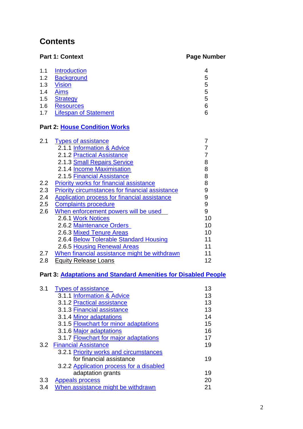# **Contents**

|     | <b>Part 1: Context</b>       | <b>Page Number</b> |
|-----|------------------------------|--------------------|
| 1.1 | <b>Introduction</b>          | 4                  |
| 1.2 | <b>Background</b>            | 5                  |
| 1.3 | <b>Vision</b>                | 5                  |
| 1.4 | <b>Aims</b>                  | 5                  |
| 1.5 | <b>Strategy</b>              | 5                  |
| 1.6 | <b>Resources</b>             | 6                  |
| 1.7 | <b>Lifespan of Statement</b> | 6                  |

# **Part 2: [House Condition Works](#page-6-0)**

| <b>Types of assistance</b>                             |    |
|--------------------------------------------------------|----|
| 2.1.1 Information & Advice                             |    |
| 2.1.2 Practical Assistance                             |    |
| 2.1.3 Small Repairs Service                            | 8  |
| 2.1.4 Income Maximisation                              | 8  |
| 2.1.5 Financial Assistance                             | 8  |
| <b>Priority works for financial assistance</b>         | 8  |
| <b>Priority circumstances for financial assistance</b> | 9  |
| Application process for financial assistance           | 9  |
| <b>Complaints procedure</b>                            | 9  |
| When enforcement powers will be used                   | 9  |
| 2.6.1 Work Notices                                     | 10 |
| 2.6.2 Maintenance Orders                               | 10 |
| 2.6.3 Mixed Tenure Areas                               | 10 |
| 2.6.4 Below Tolerable Standard Housing                 | 11 |
| 2.6.5 Housing Renewal Areas                            | 11 |
| When financial assistance might be withdrawn           | 11 |
| <b>Equity Release Loans</b>                            | 12 |
|                                                        |    |

# **Part 3: [Adaptations and Standard Amenities for Disabled People](#page-11-0)**

| 3.1 | <b>Types of assistance</b>               | 13 |
|-----|------------------------------------------|----|
|     | 3.1.1 Information & Advice               | 13 |
|     | 3.1.2 Practical assistance               | 13 |
|     | 3.1.3 Financial assistance               | 13 |
|     | 3.1.4 Minor adaptations                  | 14 |
|     | 3.1.5 Flowchart for minor adaptations    | 15 |
|     | 3.1.6 Major adaptations                  | 16 |
|     | 3.1.7 Flowchart for major adaptations    | 17 |
|     | <b>3.2 Financial Assistance</b>          | 19 |
|     | 3.2.1 Priority works and circumstances   |    |
|     | for financial assistance                 | 19 |
|     | 3.2.2 Application process for a disabled |    |
|     | adaptation grants                        | 19 |
| 3.3 | <b>Appeals process</b>                   | 20 |
| 3.4 | When assistance might be withdrawn       | 21 |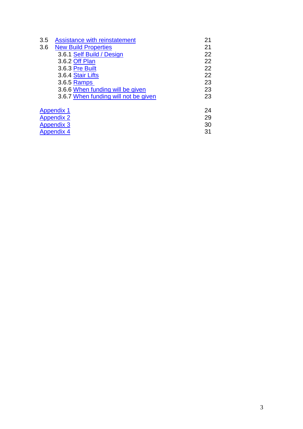| 3.5 | Assistance with reinstatement        | 21 |
|-----|--------------------------------------|----|
| 3.6 | <b>New Build Properties</b>          | 21 |
|     | 3.6.1 Self Build / Design            | 22 |
|     | 3.6.2 Off Plan                       | 22 |
|     | 3.6.3 Pre Built                      | 22 |
|     | 3.6.4 Stair Lifts                    | 22 |
|     | 3.6.5 Ramps                          | 23 |
|     | 3.6.6 When funding will be given     | 23 |
|     | 3.6.7 When funding will not be given | 23 |
|     | <b>Appendix 1</b>                    | 24 |
|     | <b>Appendix 2</b>                    | 29 |
|     | <b>Appendix 3</b>                    | 30 |
|     | <b>Appendix 4</b>                    | 31 |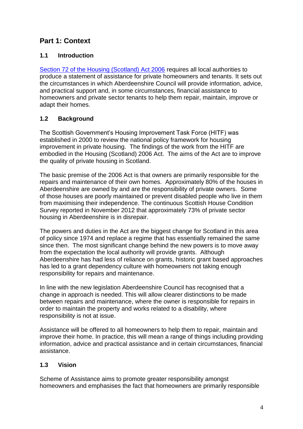# **Part 1: Context**

# <span id="page-3-0"></span>**1.1 Introduction**

[Section 72 of the Housing \(Scotland\) Act 2006](http://www.legislation.gov.uk/asp/2006/1/section/72) requires all local authorities to produce a statement of assistance for private homeowners and tenants. It sets out the circumstances in which Aberdeenshire Council will provide information, advice, and practical support and, in some circumstances, financial assistance to homeowners and private sector tenants to help them repair, maintain, improve or adapt their homes.

# <span id="page-3-1"></span>**1.2 Background**

The Scottish Government's Housing Improvement Task Force (HITF) was established in 2000 to review the national policy framework for housing improvement in private housing. The findings of the work from the HITF are embodied in the Housing (Scotland) 2006 Act. The aims of the Act are to improve the quality of private housing in Scotland.

The basic premise of the 2006 Act is that owners are primarily responsible for the repairs and maintenance of their own homes. Approximately 80% of the houses in Aberdeenshire are owned by and are the responsibility of private owners. Some of those houses are poorly maintained or prevent disabled people who live in them from maximising their independence. The continuous Scottish House Condition Survey reported in November 2012 that approximately 73% of private sector housing in Aberdeenshire is in disrepair.

The powers and duties in the Act are the biggest change for Scotland in this area of policy since 1974 and replace a regime that has essentially remained the same since then. The most significant change behind the new powers is to move away from the expectation the local authority will provide grants. Although Aberdeenshire has had less of reliance on grants, historic grant based approaches has led to a grant dependency culture with homeowners not taking enough responsibility for repairs and maintenance.

In line with the new legislation Aberdeenshire Council has recognised that a change in approach is needed. This will allow clearer distinctions to be made between repairs and maintenance, where the owner is responsible for repairs in order to maintain the property and works related to a disability, where responsibility is not at issue.

Assistance will be offered to all homeowners to help them to repair, maintain and improve their home. In practice, this will mean a range of things including providing information, advice and practical assistance and in certain circumstances, financial assistance.

# <span id="page-3-2"></span>**1.3 Vision**

Scheme of Assistance aims to promote greater responsibility amongst homeowners and emphasises the fact that homeowners are primarily responsible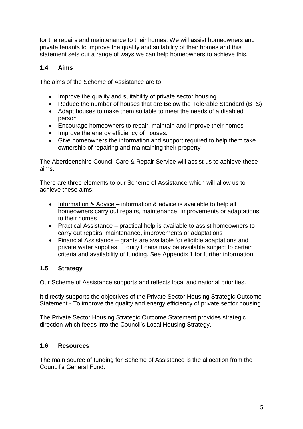for the repairs and maintenance to their homes. We will assist homeowners and private tenants to improve the quality and suitability of their homes and this statement sets out a range of ways we can help homeowners to achieve this.

#### <span id="page-4-0"></span>**1.4 Aims**

The aims of the Scheme of Assistance are to:

- Improve the quality and suitability of private sector housing
- Reduce the number of houses that are Below the Tolerable Standard (BTS)
- Adapt houses to make them suitable to meet the needs of a disabled person
- Encourage homeowners to repair, maintain and improve their homes
- Improve the energy efficiency of houses.
- Give homeowners the information and support required to help them take ownership of repairing and maintaining their property

The Aberdeenshire Council Care & Repair Service will assist us to achieve these aims.

There are three elements to our Scheme of Assistance which will allow us to achieve these aims:

- Information & Advice information & advice is available to help all homeowners carry out repairs, maintenance, improvements or adaptations to their homes
- Practical Assistance practical help is available to assist homeowners to carry out repairs, maintenance, improvements or adaptations
- Financial Assistance grants are available for eligible adaptations and private water supplies. Equity Loans may be available subject to certain criteria and availability of funding. See Appendix 1 for further information.

# <span id="page-4-1"></span>**1.5 Strategy**

Our Scheme of Assistance supports and reflects local and national priorities.

It directly supports the objectives of the Private Sector Housing Strategic Outcome Statement - To improve the quality and energy efficiency of private sector housing.

The Private Sector Housing Strategic Outcome Statement provides strategic direction which feeds into the Council's Local Housing Strategy.

#### <span id="page-4-2"></span>**1.6 Resources**

The main source of funding for Scheme of Assistance is the allocation from the Council's General Fund.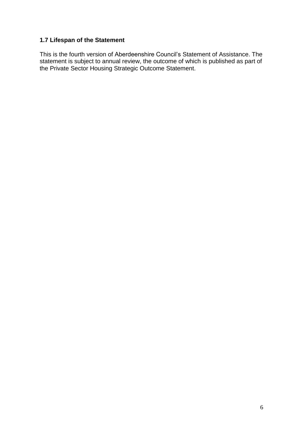#### <span id="page-5-0"></span>**1.7 Lifespan of the Statement**

This is the fourth version of Aberdeenshire Council's Statement of Assistance. The statement is subject to annual review, the outcome of which is published as part of the Private Sector Housing Strategic Outcome Statement.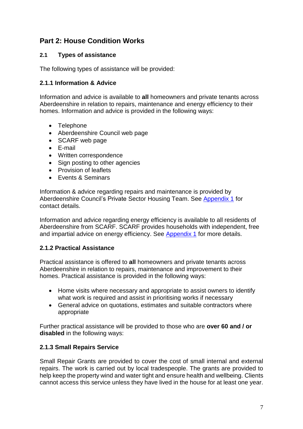# <span id="page-6-0"></span>**Part 2: House Condition Works**

# <span id="page-6-1"></span>**2.1 Types of assistance**

The following types of assistance will be provided:

#### <span id="page-6-2"></span>**2.1.1 Information & Advice**

Information and advice is available to **all** homeowners and private tenants across Aberdeenshire in relation to repairs, maintenance and energy efficiency to their homes. Information and advice is provided in the following ways:

- Telephone
- Aberdeenshire Council web page
- SCARF web page
- E-mail
- Written correspondence
- Sign posting to other agencies
- Provision of leaflets
- Fvents & Seminars

Information & advice regarding repairs and maintenance is provided by Aberdeenshire Council's Private Sector Housing Team. See [Appendix 1](#page-20-0) for contact details.

Information and advice regarding energy efficiency is available to all residents of Aberdeenshire from SCARF. SCARF provides households with independent, free and impartial advice on energy efficiency. See [Appendix 1](#page-20-0) for more details.

#### <span id="page-6-3"></span>**2.1.2 Practical Assistance**

Practical assistance is offered to **all** homeowners and private tenants across Aberdeenshire in relation to repairs, maintenance and improvement to their homes. Practical assistance is provided in the following ways:

- Home visits where necessary and appropriate to assist owners to identify what work is required and assist in prioritising works if necessary
- General advice on quotations, estimates and suitable contractors where appropriate

Further practical assistance will be provided to those who are **over 60 and / or disabled** in the following ways:

#### <span id="page-6-4"></span>**2.1.3 Small Repairs Service**

Small Repair Grants are provided to cover the cost of small internal and external repairs. The work is carried out by local tradespeople. The grants are provided to help keep the property wind and water tight and ensure health and wellbeing. Clients cannot access this service unless they have lived in the house for at least one year.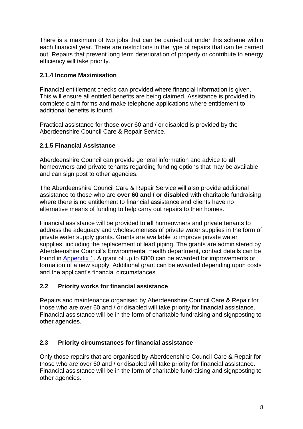There is a maximum of two jobs that can be carried out under this scheme within each financial year. There are restrictions in the type of repairs that can be carried out. Repairs that prevent long term deterioration of property or contribute to energy efficiency will take priority.

# <span id="page-7-0"></span>**2.1.4 Income Maximisation**

Financial entitlement checks can provided where financial information is given. This will ensure all entitled benefits are being claimed. Assistance is provided to complete claim forms and make telephone applications where entitlement to additional benefits is found.

Practical assistance for those over 60 and / or disabled is provided by the Aberdeenshire Council Care & Repair Service.

# <span id="page-7-1"></span>**2.1.5 Financial Assistance**

Aberdeenshire Council can provide general information and advice to **all** homeowners and private tenants regarding funding options that may be available and can sign post to other agencies.

The Aberdeenshire Council Care & Repair Service will also provide additional assistance to those who are **over 60 and / or disabled** with charitable fundraising where there is no entitlement to financial assistance and clients have no alternative means of funding to help carry out repairs to their homes.

Financial assistance will be provided to **all** homeowners and private tenants to address the adequacy and wholesomeness of private water supplies in the form of private water supply grants. Grants are available to improve private water supplies, including the replacement of lead piping. The grants are administered by Aberdeenshire Council's Environmental Health department, contact details can be found in [Appendix 1.](#page-20-0) A grant of up to £800 can be awarded for improvements or formation of a new supply. Additional grant can be awarded depending upon costs and the applicant's financial circumstances.

#### <span id="page-7-2"></span>**2.2 Priority works for financial assistance**

Repairs and maintenance organised by Aberdeenshire Council Care & Repair for those who are over 60 and / or disabled will take priority for financial assistance. Financial assistance will be in the form of charitable fundraising and signposting to other agencies.

# <span id="page-7-3"></span>**2.3 Priority circumstances for financial assistance**

Only those repairs that are organised by Aberdeenshire Council Care & Repair for those who are over 60 and / or disabled will take priority for financial assistance. Financial assistance will be in the form of charitable fundraising and signposting to other agencies.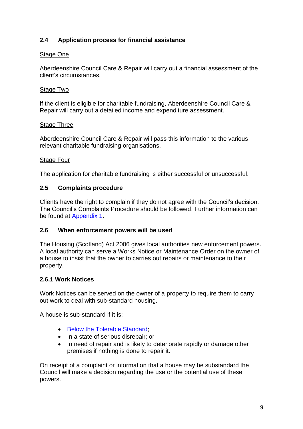# <span id="page-8-0"></span>**2.4 Application process for financial assistance**

#### Stage One

Aberdeenshire Council Care & Repair will carry out a financial assessment of the client's circumstances.

#### Stage Two

If the client is eligible for charitable fundraising, Aberdeenshire Council Care & Repair will carry out a detailed income and expenditure assessment.

#### Stage Three

Aberdeenshire Council Care & Repair will pass this information to the various relevant charitable fundraising organisations.

#### Stage Four

The application for charitable fundraising is either successful or unsuccessful.

#### <span id="page-8-1"></span>**2.5 Complaints procedure**

Clients have the right to complain if they do not agree with the Council's decision. The Council's Complaints Procedure should be followed. Further information can be found at [Appendix 1.](#page-20-0)

#### <span id="page-8-2"></span>**2.6 When enforcement powers will be used**

The Housing (Scotland) Act 2006 gives local authorities new enforcement powers. A local authority can serve a Works Notice or Maintenance Order on the owner of a house to insist that the owner to carries out repairs or maintenance to their property.

#### <span id="page-8-3"></span>**2.6.1 Work Notices**

Work Notices can be served on the owner of a property to require them to carry out work to deal with sub-standard housing.

A house is sub-standard if it is:

- [Below the Tolerable Standard;](#page-9-2)
- In a state of serious disrepair; or
- In need of repair and is likely to deteriorate rapidly or damage other premises if nothing is done to repair it.

On receipt of a complaint or information that a house may be substandard the Council will make a decision regarding the use or the potential use of these powers.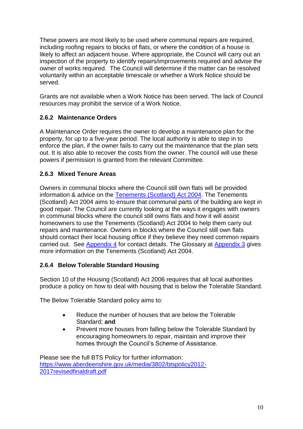These powers are most likely to be used where communal repairs are required, including roofing repairs to blocks of flats, or where the condition of a house is likely to affect an adjacent house. Where appropriate, the Council will carry out an inspection of the property to identify repairs/improvements required and advise the owner of works required. The Council will determine if the matter can be resolved voluntarily within an acceptable timescale or whether a Work Notice should be served.

Grants are not available when a Work Notice has been served. The lack of Council resources may prohibit the service of a Work Notice.

# <span id="page-9-0"></span>**2.6.2 Maintenance Orders**

A Maintenance Order requires the owner to develop a maintenance plan for the property, for up to a five-year period. The local authority is able to step in to enforce the plan, if the owner fails to carry out the maintenance that the plan sets out. It is also able to recover the costs from the owner. The council will use these powers if permission is granted from the relevant Committee.

# <span id="page-9-1"></span>**2.6.3 Mixed Tenure Areas**

Owners in communal blocks where the Council still own flats will be provided information & advice on the [Tenements \(Scotland\) Act 2004.](http://www.legislation.gov.uk/asp/2004/11/section/1) The Tenements (Scotland) Act 2004 aims to ensure that communal parts of the building are kept in good repair. The Council are currently looking at the ways it engages with owners in communal blocks where the council still owns flats and how it will assist homeowners to use the Tenements (Scotland) Act 2004 to help them carry out repairs and maintenance. Owners in blocks where the Council still own flats should contact their local housing office if they believe they need common repairs carried out. See [Appendix 4](#page-26-0) for contact details. The Glossary at [Appendix 3](#page-25-0) gives more information on the Tenements (Scotland) Act 2004.

# <span id="page-9-2"></span>**2.6.4 Below Tolerable Standard Housing**

Section 10 of the Housing (Scotland) Act 2006 requires that all local authorities produce a policy on how to deal with housing that is below the Tolerable Standard.

The Below Tolerable Standard policy aims to:

- Reduce the number of houses that are below the Tolerable Standard; **and**
- Prevent more houses from falling below the Tolerable Standard by encouraging homeowners to repair, maintain and improve their homes through the Council's Scheme of Assistance.

Please see the full BTS Policy for further information: [https://www.aberdeenshire.gov.uk/media/3802/btspolicy2012-](https://www.aberdeenshire.gov.uk/media/3802/btspolicy2012-2017revisedfinaldraft.pdf) [2017revisedfinaldraft.pdf](https://www.aberdeenshire.gov.uk/media/3802/btspolicy2012-2017revisedfinaldraft.pdf)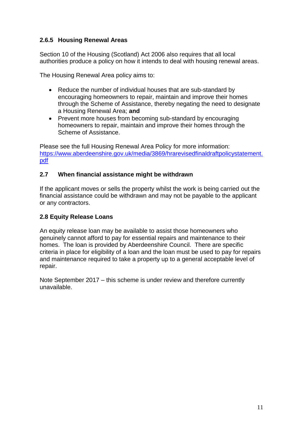# <span id="page-10-0"></span>**2.6.5 Housing Renewal Areas**

Section 10 of the Housing (Scotland) Act 2006 also requires that all local authorities produce a policy on how it intends to deal with housing renewal areas.

The Housing Renewal Area policy aims to:

- Reduce the number of individual houses that are sub-standard by encouraging homeowners to repair, maintain and improve their homes through the Scheme of Assistance, thereby negating the need to designate a Housing Renewal Area; **and**
- Prevent more houses from becoming sub-standard by encouraging homeowners to repair, maintain and improve their homes through the Scheme of Assistance.

Please see the full Housing Renewal Area Policy for more information: [https://www.aberdeenshire.gov.uk/media/3869/hrarevisedfinaldraftpolicystatement.](https://www.aberdeenshire.gov.uk/media/3869/hrarevisedfinaldraftpolicystatement.pdf) [pdf](https://www.aberdeenshire.gov.uk/media/3869/hrarevisedfinaldraftpolicystatement.pdf)

#### <span id="page-10-1"></span>**2.7 When financial assistance might be withdrawn**

If the applicant moves or sells the property whilst the work is being carried out the financial assistance could be withdrawn and may not be payable to the applicant or any contractors.

#### <span id="page-10-2"></span>**2.8 Equity Release Loans**

An equity release loan may be available to assist those homeowners who genuinely cannot afford to pay for essential repairs and maintenance to their homes. The loan is provided by Aberdeenshire Council. There are specific criteria in place for eligibility of a loan and the loan must be used to pay for repairs and maintenance required to take a property up to a general acceptable level of repair.

Note September 2017 – this scheme is under review and therefore currently unavailable.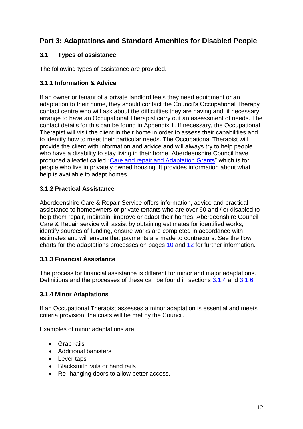# <span id="page-11-0"></span>**Part 3: Adaptations and Standard Amenities for Disabled People**

# <span id="page-11-1"></span>**3.1 Types of assistance**

The following types of assistance are provided.

#### <span id="page-11-2"></span>**3.1.1 Information & Advice**

If an owner or tenant of a private landlord feels they need equipment or an adaptation to their home, they should contact the Council's Occupational Therapy contact centre who will ask about the difficulties they are having and, if necessary arrange to have an Occupational Therapist carry out an assessment of needs. The contact details for this can be found in Appendix 1. If necessary, the Occupational Therapist will visit the client in their home in order to assess their capabilities and to identify how to meet their particular needs. The Occupational Therapist will provide the client with information and advice and will always try to help people who have a disability to stay living in their home. Aberdeenshire Council have produced a leaflet called ["Care and repair and Adaptation](http://www.aberdeenshire.gov.uk/housing/private-housing/aberdeenshire-care-and-repair/) Grants" which is for people who live in privately owned housing. It provides information about what help is available to adapt homes.

# <span id="page-11-3"></span>**3.1.2 Practical Assistance**

Aberdeenshire Care & Repair Service offers information, advice and practical assistance to homeowners or private tenants who are over 60 and / or disabled to help them repair, maintain, improve or adapt their homes. Aberdeenshire Council Care & Repair service will assist by obtaining estimates for identified works, identify sources of funding, ensure works are completed in accordance with estimates and will ensure that payments are made to contractors. See the flow charts for the adaptations processes on pages [10](#page-12-0) and [12](#page-13-1) for further information.

#### <span id="page-11-4"></span>**3.1.3 Financial Assistance**

The process for financial assistance is different for minor and major adaptations. Definitions and the processes of these can be found in sections [3.1.4](#page-11-5) and [3.1.6.](#page-13-0)

#### <span id="page-11-5"></span>**3.1.4 Minor Adaptations**

If an Occupational Therapist assesses a minor adaptation is essential and meets criteria provision, the costs will be met by the Council.

Examples of minor adaptations are:

- Grab rails
- Additional banisters
- Lever taps
- Blacksmith rails or hand rails
- Re- hanging doors to allow better access.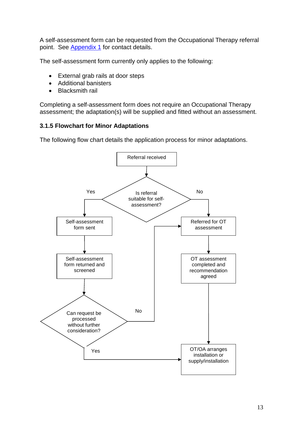A self-assessment form can be requested from the Occupational Therapy referral point. See [Appendix 1](#page-20-0) for contact details.

The self-assessment form currently only applies to the following:

- External grab rails at door steps
- Additional banisters
- Blacksmith rail

Completing a self-assessment form does not require an Occupational Therapy assessment; the adaptation(s) will be supplied and fitted without an assessment.

#### <span id="page-12-0"></span>**3.1.5 Flowchart for Minor Adaptations**

The following flow chart details the application process for minor adaptations.

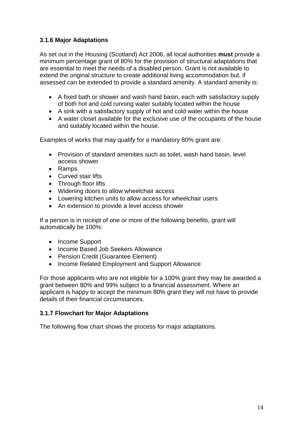# <span id="page-13-0"></span>**3.1.6 Major Adaptations**

As set out in the Housing (Scotland) Act 2006, all local authorities **must** provide a minimum percentage grant of 80% for the provision of structural adaptations that are essential to meet the needs of a disabled person. Grant is not available to extend the original structure to create additional living accommodation but, if assessed can be extended to provide a standard amenity. A standard amenity is:

- A fixed bath or shower and wash hand basin, each with satisfactory supply of both hot and cold running water suitably located within the house
- A sink with a satisfactory supply of hot and cold water within the house
- A water closet available for the exclusive use of the occupants of the house and suitably located within the house.

Examples of works that may qualify for a mandatory 80% grant are:

- Provision of standard amenities such as toilet, wash hand basin, level access shower
- Ramps
- Curved stair lifts
- Through floor lifts
- Widening doors to allow wheelchair access
- Lowering kitchen units to allow access for wheelchair users
- An extension to provide a level access shower

If a person is in receipt of one or more of the following benefits, grant will automatically be 100%:

- Income Support
- Income Based Job Seekers Allowance
- Pension Credit (Guarantee Element)
- Income Related Employment and Support Allowance

For those applicants who are not eligible for a 100% grant they may be awarded a grant between 80% and 99% subject to a financial assessment. Where an applicant is happy to accept the minimum 80% grant they will not have to provide details of their financial circumstances.

#### <span id="page-13-1"></span>**3.1.7 Flowchart for Major Adaptations**

The following flow chart shows the process for major adaptations.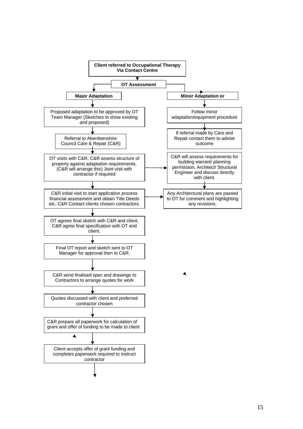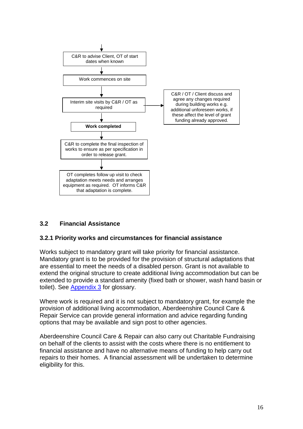

#### <span id="page-15-0"></span>**3.2 Financial Assistance**

#### <span id="page-15-1"></span>**3.2.1 Priority works and circumstances for financial assistance**

Works subject to mandatory grant will take priority for financial assistance. Mandatory grant is to be provided for the provision of structural adaptations that are essential to meet the needs of a disabled person. Grant is not available to extend the original structure to create additional living accommodation but can be extended to provide a standard amenity (fixed bath or shower, wash hand basin or toilet). See [Appendix 3](#page-25-0) for glossary.

Where work is required and it is not subject to mandatory grant, for example the provision of additional living accommodation, Aberdeenshire Council Care & Repair Service can provide general information and advice regarding funding options that may be available and sign post to other agencies.

Aberdeenshire Council Care & Repair can also carry out Charitable Fundraising on behalf of the clients to assist with the costs where there is no entitlement to financial assistance and have no alternative means of funding to help carry out repairs to their homes. A financial assessment will be undertaken to determine eligibility for this.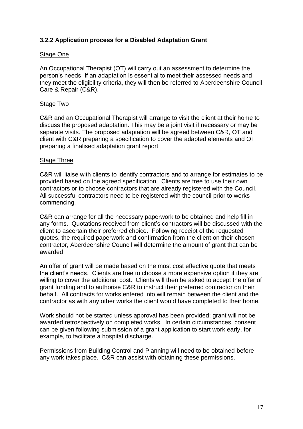#### <span id="page-16-0"></span>**3.2.2 Application process for a Disabled Adaptation Grant**

#### Stage One

An Occupational Therapist (OT) will carry out an assessment to determine the person's needs. If an adaptation is essential to meet their assessed needs and they meet the eligibility criteria, they will then be referred to Aberdeenshire Council Care & Repair (C&R).

#### Stage Two

C&R and an Occupational Therapist will arrange to visit the client at their home to discuss the proposed adaptation. This may be a joint visit if necessary or may be separate visits. The proposed adaptation will be agreed between C&R, OT and client with C&R preparing a specification to cover the adapted elements and OT preparing a finalised adaptation grant report.

#### Stage Three

C&R will liaise with clients to identify contractors and to arrange for estimates to be provided based on the agreed specification. Clients are free to use their own contractors or to choose contractors that are already registered with the Council. All successful contractors need to be registered with the council prior to works commencing.

C&R can arrange for all the necessary paperwork to be obtained and help fill in any forms. Quotations received from client's contractors will be discussed with the client to ascertain their preferred choice. Following receipt of the requested quotes, the required paperwork and confirmation from the client on their chosen contractor, Aberdeenshire Council will determine the amount of grant that can be awarded.

An offer of grant will be made based on the most cost effective quote that meets the client's needs. Clients are free to choose a more expensive option if they are willing to cover the additional cost. Clients will then be asked to accept the offer of grant funding and to authorise C&R to instruct their preferred contractor on their behalf. All contracts for works entered into will remain between the client and the contractor as with any other works the client would have completed to their home.

Work should not be started unless approval has been provided; grant will not be awarded retrospectively on completed works. In certain circumstances, consent can be given following submission of a grant application to start work early, for example, to facilitate a hospital discharge.

Permissions from Building Control and Planning will need to be obtained before any work takes place. C&R can assist with obtaining these permissions.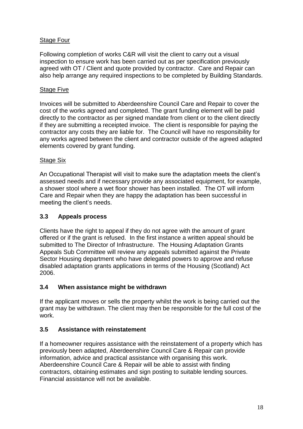#### Stage Four

Following completion of works C&R will visit the client to carry out a visual inspection to ensure work has been carried out as per specification previously agreed with OT / Client and quote provided by contractor. Care and Repair can also help arrange any required inspections to be completed by Building Standards.

#### Stage Five

Invoices will be submitted to Aberdeenshire Council Care and Repair to cover the cost of the works agreed and completed. The grant funding element will be paid directly to the contractor as per signed mandate from client or to the client directly if they are submitting a receipted invoice. The client is responsible for paying the contractor any costs they are liable for. The Council will have no responsibility for any works agreed between the client and contractor outside of the agreed adapted elements covered by grant funding.

#### Stage Six

An Occupational Therapist will visit to make sure the adaptation meets the client's assessed needs and if necessary provide any associated equipment, for example, a shower stool where a wet floor shower has been installed. The OT will inform Care and Repair when they are happy the adaptation has been successful in meeting the client's needs.

#### <span id="page-17-0"></span>**3.3 Appeals process**

Clients have the right to appeal if they do not agree with the amount of grant offered or if the grant is refused. In the first instance a written appeal should be submitted to The Director of Infrastructure. The Housing Adaptation Grants Appeals Sub Committee will review any appeals submitted against the Private Sector Housing department who have delegated powers to approve and refuse disabled adaptation grants applications in terms of the Housing (Scotland) Act 2006.

#### <span id="page-17-1"></span>**3.4 When assistance might be withdrawn**

If the applicant moves or sells the property whilst the work is being carried out the grant may be withdrawn. The client may then be responsible for the full cost of the work.

#### <span id="page-17-2"></span>**3.5 Assistance with reinstatement**

If a homeowner requires assistance with the reinstatement of a property which has previously been adapted, Aberdeenshire Council Care & Repair can provide information, advice and practical assistance with organising this work. Aberdeenshire Council Care & Repair will be able to assist with finding contractors, obtaining estimates and sign posting to suitable lending sources. Financial assistance will not be available.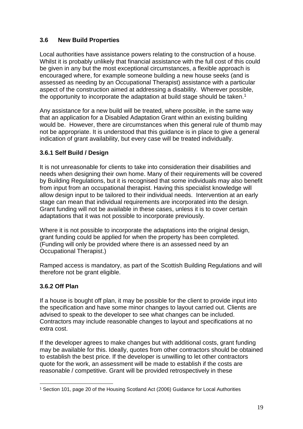# <span id="page-18-0"></span>**3.6 New Build Properties**

Local authorities have assistance powers relating to the construction of a house. Whilst it is probably unlikely that financial assistance with the full cost of this could be given in any but the most exceptional circumstances, a flexible approach is encouraged where, for example someone building a new house seeks (and is assessed as needing by an Occupational Therapist) assistance with a particular aspect of the construction aimed at addressing a disability. Wherever possible, the opportunity to incorporate the adaptation at build stage should be taken.<sup>1</sup>

Any assistance for a new build will be treated, where possible, in the same way that an application for a Disabled Adaptation Grant within an existing building would be. However, there are circumstances when this general rule of thumb may not be appropriate. It is understood that this guidance is in place to give a general indication of grant availability, but every case will be treated individually.

# <span id="page-18-1"></span>**3.6.1 Self Build / Design**

It is not unreasonable for clients to take into consideration their disabilities and needs when designing their own home. Many of their requirements will be covered by Building Regulations, but it is recognised that some individuals may also benefit from input from an occupational therapist. Having this specialist knowledge will allow design input to be tailored to their individual needs. Intervention at an early stage can mean that individual requirements are incorporated into the design. Grant funding will not be available in these cases, unless it is to cover certain adaptations that it was not possible to incorporate previously.

Where it is not possible to incorporate the adaptations into the original design, grant funding could be applied for when the property has been completed. (Funding will only be provided where there is an assessed need by an Occupational Therapist.)

Ramped access is mandatory, as part of the Scottish Building Regulations and will therefore not be grant eligible.

#### <span id="page-18-2"></span>**3.6.2 Off Plan**

If a house is bought off plan, it may be possible for the client to provide input into the specification and have some minor changes to layout carried out. Clients are advised to speak to the developer to see what changes can be included. Contractors may include reasonable changes to layout and specifications at no extra cost.

If the developer agrees to make changes but with additional costs, grant funding may be available for this. Ideally, quotes from other contractors should be obtained to establish the best price. If the developer is unwilling to let other contractors quote for the work, an assessment will be made to establish if the costs are reasonable / competitive. Grant will be provided retrospectively in these

<sup>1</sup> <sup>1</sup> Section 101, page 20 of the Housing Scotland Act (2006) Guidance for Local Authorities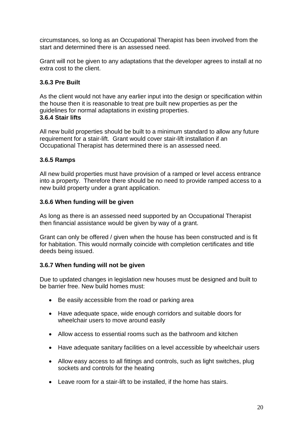circumstances, so long as an Occupational Therapist has been involved from the start and determined there is an assessed need.

Grant will not be given to any adaptations that the developer agrees to install at no extra cost to the client.

#### <span id="page-19-0"></span>**3.6.3 Pre Built**

As the client would not have any earlier input into the design or specification within the house then it is reasonable to treat pre built new properties as per the guidelines for normal adaptations in existing properties. **3.6.4 Stair lifts**

<span id="page-19-1"></span>All new build properties should be built to a minimum standard to allow any future requirement for a stair-lift. Grant would cover stair-lift installation if an Occupational Therapist has determined there is an assessed need.

#### <span id="page-19-2"></span>**3.6.5 Ramps**

All new build properties must have provision of a ramped or level access entrance into a property. Therefore there should be no need to provide ramped access to a new build property under a grant application.

#### <span id="page-19-3"></span>**3.6.6 When funding will be given**

As long as there is an assessed need supported by an Occupational Therapist then financial assistance would be given by way of a grant.

Grant can only be offered / given when the house has been constructed and is fit for habitation. This would normally coincide with completion certificates and title deeds being issued.

#### <span id="page-19-4"></span>**3.6.7 When funding will not be given**

Due to updated changes in legislation new houses must be designed and built to be barrier free. New build homes must:

- Be easily accessible from the road or parking area
- Have adequate space, wide enough corridors and suitable doors for wheelchair users to move around easily
- Allow access to essential rooms such as the bathroom and kitchen
- Have adequate sanitary facilities on a level accessible by wheelchair users
- Allow easy access to all fittings and controls, such as light switches, plug sockets and controls for the heating
- Leave room for a stair-lift to be installed, if the home has stairs.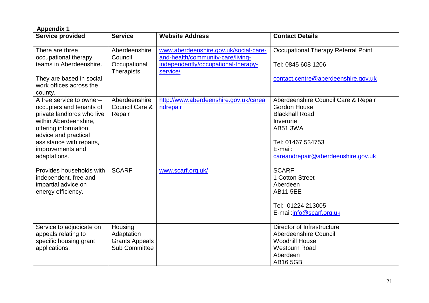<span id="page-20-0"></span>

| <b>Appendix 1</b>                                                                                                                                                                                                                       |                                                                        |                                                                                                                               |                                                                                                                                                                                           |
|-----------------------------------------------------------------------------------------------------------------------------------------------------------------------------------------------------------------------------------------|------------------------------------------------------------------------|-------------------------------------------------------------------------------------------------------------------------------|-------------------------------------------------------------------------------------------------------------------------------------------------------------------------------------------|
| <b>Service provided</b>                                                                                                                                                                                                                 | <b>Service</b>                                                         | <b>Website Address</b>                                                                                                        | <b>Contact Details</b>                                                                                                                                                                    |
| There are three<br>occupational therapy<br>teams in Aberdeenshire.<br>They are based in social<br>work offices across the                                                                                                               | Aberdeenshire<br>Council<br>Occupational<br><b>Therapists</b>          | www.aberdeenshire.gov.uk/social-care-<br>and-health/community-care/living-<br>independently/occupational-therapy-<br>service/ | Occupational Therapy Referral Point<br>Tel: 0845 608 1206<br>contact.centre@aberdeenshire.gov.uk                                                                                          |
| county.<br>A free service to owner-<br>occupiers and tenants of<br>private landlords who live<br>within Aberdeenshire,<br>offering information,<br>advice and practical<br>assistance with repairs,<br>improvements and<br>adaptations. | Aberdeenshire<br>Council Care &<br>Repair                              | http://www.aberdeenshire.gov.uk/carea<br>ndrepair                                                                             | Aberdeenshire Council Care & Repair<br><b>Gordon House</b><br><b>Blackhall Road</b><br>Inverurie<br><b>AB51 3WA</b><br>Tel: 01467 534753<br>E-mail:<br>careandrepair@aberdeenshire.gov.uk |
| Provides households with<br>independent, free and<br>impartial advice on<br>energy efficiency.                                                                                                                                          | <b>SCARF</b>                                                           | www.scarf.org.uk/                                                                                                             | <b>SCARF</b><br>1 Cotton Street<br>Aberdeen<br><b>AB11 5EE</b><br>Tel: 01224 213005<br>E-mail:info@scarf.org.uk                                                                           |
| Service to adjudicate on<br>appeals relating to<br>specific housing grant<br>applications.                                                                                                                                              | Housing<br>Adaptation<br><b>Grants Appeals</b><br><b>Sub Committee</b> |                                                                                                                               | Director of Infrastructure<br>Aberdeenshire Council<br><b>Woodhill House</b><br><b>Westburn Road</b><br>Aberdeen<br><b>AB16 5GB</b>                                                       |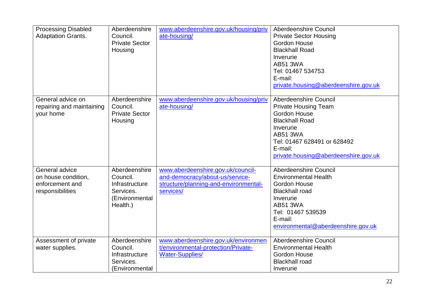| <b>Processing Disabled</b><br><b>Adaptation Grants.</b>                      | Aberdeenshire<br>Council.<br><b>Private Sector</b><br>Housing                          | www.aberdeenshire.gov.uk/housing/priv<br>ate-housing/                                                                      | <b>Aberdeenshire Council</b><br><b>Private Sector Housing</b><br><b>Gordon House</b><br><b>Blackhall Road</b><br>Inverurie<br><b>AB51 3WA</b><br>Tel: 01467 534753<br>E-mail:<br>private.housing@aberdeenshire.gov.uk  |
|------------------------------------------------------------------------------|----------------------------------------------------------------------------------------|----------------------------------------------------------------------------------------------------------------------------|------------------------------------------------------------------------------------------------------------------------------------------------------------------------------------------------------------------------|
| General advice on<br>repairing and maintaining<br>your home                  | Aberdeenshire<br>Council.<br><b>Private Sector</b><br>Housing                          | www.aberdeenshire.gov.uk/housing/priv<br>ate-housing/                                                                      | Aberdeenshire Council<br><b>Private Housing Team</b><br><b>Gordon House</b><br><b>Blackhall Road</b><br>Inverurie<br><b>AB51 3WA</b><br>Tel: 01467 628491 or 628492<br>E-mail:<br>private.housing@aberdeenshire.gov.uk |
| General advice<br>on house condition,<br>enforcement and<br>responsibilities | Aberdeenshire<br>Council.<br>Infrastructure<br>Services.<br>(Environmental<br>Health.) | www.aberdeenshire.gov.uk/council-<br>and-democracy/about-us/service-<br>structure/planning-and-environmental-<br>services/ | Aberdeenshire Council<br><b>Environmental Health</b><br><b>Gordon House</b><br><b>Blackhall road</b><br>Inverurie<br><b>AB51 3WA</b><br>Tel: 01467 539539<br>E-mail:<br>environmental@aberdeenshire.gov.uk             |
| Assessment of private<br>water supplies.                                     | Aberdeenshire<br>Council.<br>Infrastructure<br>Services.<br>(Environmental             | www.aberdeenshire.gov.uk/environmen<br>t/environmental-protection/Private-<br>Water-Supplies/                              | Aberdeenshire Council<br><b>Environmental Health</b><br><b>Gordon House</b><br><b>Blackhall road</b><br>Inverurie                                                                                                      |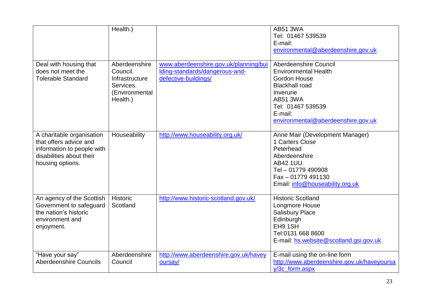|                                                                                                                                   | Health.)                                                                               |                                                                                                 | <b>AB51 3WA</b><br>Tel: 01467 539539<br>E-mail:<br>environmental@aberdeenshire.gov.uk                                                                                                                      |
|-----------------------------------------------------------------------------------------------------------------------------------|----------------------------------------------------------------------------------------|-------------------------------------------------------------------------------------------------|------------------------------------------------------------------------------------------------------------------------------------------------------------------------------------------------------------|
| Deal with housing that<br>does not meet the<br><b>Tolerable Standard</b>                                                          | Aberdeenshire<br>Council.<br>Infrastructure<br>Services.<br>(Environmental<br>Health.) | www.aberdeenshire.gov.uk/planning/bui<br>Iding-standards/dangerous-and-<br>defective-buildings/ | Aberdeenshire Council<br><b>Environmental Health</b><br><b>Gordon House</b><br><b>Blackhall road</b><br>Inverurie<br><b>AB51 3WA</b><br>Tel: 01467 539539<br>E-mail:<br>environmental@aberdeenshire.gov.uk |
| A charitable organisation<br>that offers advice and<br>information to people with<br>disabilities about their<br>housing options. | Houseability                                                                           | http://www.houseability.org.uk/                                                                 | Anne Mair (Development Manager)<br>1 Carters Close<br>Peterhead<br>Aberdeenshire<br>AB42 1UU.<br>Tel - 01779 490908<br>Fax - 01779 491130<br>Email: info@houseability.org.uk                               |
| An agency of the Scottish<br>Government to safeguard<br>the nation's historic<br>environment and<br>enjoyment.                    | <b>Historic</b><br>Scotland                                                            | http://www.historic-scotland.gov.uk/                                                            | <b>Historic Scotland</b><br>Longmore House<br><b>Salisbury Place</b><br>Edinburgh<br>EH9 1SH<br>Tel:0131 668 8600<br>E-mail: hs.website@scotland.gsi.gov.uk                                                |
| "Have your say"<br><b>Aberdeenshire Councils</b>                                                                                  | Aberdeenshire<br>Council                                                               | http://www.aberdeenshire.gov.uk/havey<br>oursay/                                                | E-mail using the on-line form<br>http://www.aberdeenshire.gov.uk/haveyoursa<br>y/3c form.aspx                                                                                                              |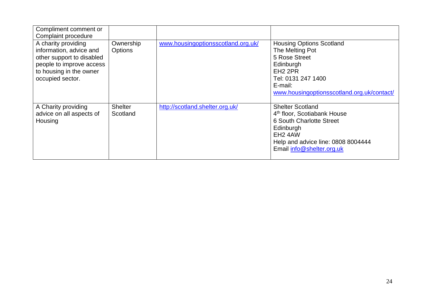| Compliment comment or<br>Complaint procedure                                                                                                           |                             |                                    |                                                                                                                                                                                                       |
|--------------------------------------------------------------------------------------------------------------------------------------------------------|-----------------------------|------------------------------------|-------------------------------------------------------------------------------------------------------------------------------------------------------------------------------------------------------|
| A charity providing<br>information, advice and<br>other support to disabled<br>people to improve access<br>to housing in the owner<br>occupied sector. | Ownership<br><b>Options</b> | www.housingoptionsscotland.org.uk/ | <b>Housing Options Scotland</b><br>The Melting Pot<br>5 Rose Street<br>Edinburgh<br>EH <sub>2</sub> 2PR<br>Tel: 0131 247 1400<br>E-mail:<br>www.housingoptionsscotland.org.uk/contact/                |
| A Charity providing<br>advice on all aspects of<br>Housing                                                                                             | <b>Shelter</b><br>Scotland  | http://scotland.shelter.org.uk/    | <b>Shelter Scotland</b><br>4 <sup>th</sup> floor, Scotiabank House<br>6 South Charlotte Street<br>Edinburgh<br>EH <sub>2</sub> 4AW<br>Help and advice line: 0808 8004444<br>Email info@shelter.org.uk |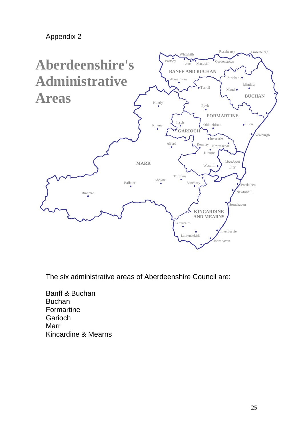<span id="page-24-0"></span>Appendix 2



The six administrative areas of Aberdeenshire Council are:

Banff & Buchan Buchan Formartine Garioch **Marr** Kincardine & Mearns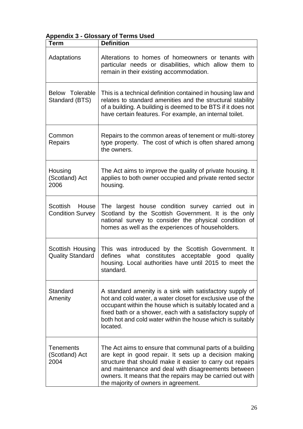# <span id="page-25-0"></span>**Appendix 3 - Glossary of Terms Used**

| <b>Term</b>                                  | <b>Definition</b>                                                                                                                                                                                                                                                                                                                          |
|----------------------------------------------|--------------------------------------------------------------------------------------------------------------------------------------------------------------------------------------------------------------------------------------------------------------------------------------------------------------------------------------------|
| Adaptations                                  | Alterations to homes of homeowners or tenants with<br>particular needs or disabilities, which allow them to<br>remain in their existing accommodation.                                                                                                                                                                                     |
| <b>Below Tolerable</b><br>Standard (BTS)     | This is a technical definition contained in housing law and<br>relates to standard amenities and the structural stability<br>of a building. A building is deemed to be BTS if it does not<br>have certain features. For example, an internal toilet.                                                                                       |
| Common<br><b>Repairs</b>                     | Repairs to the common areas of tenement or multi-storey<br>type property. The cost of which is often shared among<br>the owners.                                                                                                                                                                                                           |
| Housing<br>(Scotland) Act<br>2006            | The Act aims to improve the quality of private housing. It<br>applies to both owner occupied and private rented sector<br>housing.                                                                                                                                                                                                         |
| Scottish<br>House<br><b>Condition Survey</b> | The largest house condition survey carried out in<br>Scotland by the Scottish Government. It is the only<br>national survey to consider the physical condition of<br>homes as well as the experiences of householders.                                                                                                                     |
| Scottish Housing<br><b>Quality Standard</b>  | This was introduced by the Scottish Government. It<br>defines<br>what constitutes acceptable good<br>quality<br>housing. Local authorities have until 2015 to meet the<br>standard.                                                                                                                                                        |
| Standard<br>Amenity                          | A standard amenity is a sink with satisfactory supply of<br>hot and cold water, a water closet for exclusive use of the<br>occupant within the house which is suitably located and a<br>fixed bath or a shower, each with a satisfactory supply of<br>both hot and cold water within the house which is suitably<br>located.               |
| <b>Tenements</b><br>(Scotland) Act<br>2004   | The Act aims to ensure that communal parts of a building<br>are kept in good repair. It sets up a decision making<br>structure that should make it easier to carry out repairs<br>and maintenance and deal with disagreements between<br>owners. It means that the repairs may be carried out with<br>the majority of owners in agreement. |